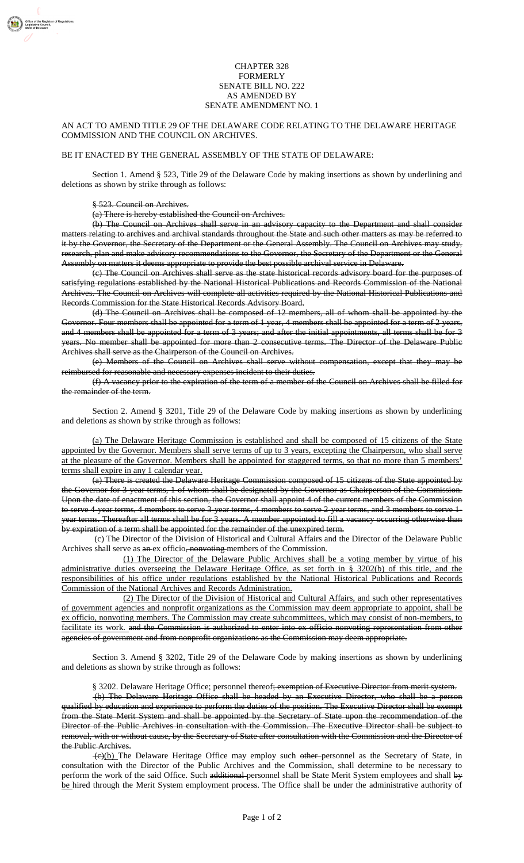## CHAPTER 328 FORMERLY SENATE BILL NO. 222 AS AMENDED BY SENATE AMENDMENT NO. 1

## AN ACT TO AMEND TITLE 29 OF THE DELAWARE CODE RELATING TO THE DELAWARE HERITAGE COMMISSION AND THE COUNCIL ON ARCHIVES.

## BE IT ENACTED BY THE GENERAL ASSEMBLY OF THE STATE OF DELAWARE:

Section 1. Amend § 523, Title 29 of the Delaware Code by making insertions as shown by underlining and deletions as shown by strike through as follows:

## § 523. Council on Archives.

(a) There is hereby established the Council on Archives.

(b) The Council on Archives shall serve in an advisory capacity to the Department and shall consider matters relating to archives and archival standards throughout the State and such other matters as may be referred to it by the Governor, the Secretary of the Department or the General Assembly. The Council on Archives may study, research, plan and make advisory recommendations to the Governor, the Secretary of the Department or the General Assembly on matters it deems appropriate to provide the best possible archival service in Delaware.

(c) The Council on Archives shall serve as the state historical records advisory board for the purposes of satisfying regulations established by the National Historical Publications and Records Commission of the National Archives. The Council on Archives will complete all activities required by the National Historical Publications and Records Commission for the State Historical Records Advisory Board.

(d) The Council on Archives shall be composed of 12 members, all of whom shall be appointed by the Governor. Four members shall be appointed for a term of 1 year, 4 members shall be appointed for a term of 2 years, and 4 members shall be appointed for a term of 3 years; and after the initial appointments, all terms shall be for 3 years. No member shall be appointed for more than 2 consecutive terms. The Director of the Delaware Public Archives shall serve as the Chairperson of the Council on Archives.

(e) Members of the Council on Archives shall serve without compensation, except that they may be reimbursed for reasonable and necessary expenses incident to their duties.

(f) A vacancy prior to the expiration of the term of a member of the Council on Archives shall be filled for the remainder of the term.

Section 2. Amend § 3201, Title 29 of the Delaware Code by making insertions as shown by underlining and deletions as shown by strike through as follows:

(a) The Delaware Heritage Commission is established and shall be composed of 15 citizens of the State appointed by the Governor. Members shall serve terms of up to 3 years, excepting the Chairperson, who shall serve at the pleasure of the Governor. Members shall be appointed for staggered terms, so that no more than 5 members' terms shall expire in any 1 calendar year.

(a) There is created the Delaware Heritage Commission composed of 15 citizens of the State appointed by the Governor for 3-year terms, 1 of whom shall be designated by the Governor as Chairperson of the Commission. Upon the date of enactment of this section, the Governor shall appoint 4 of the current members of the Commission to serve 4-year terms, 4 members to serve 3-year terms, 4 members to serve 2-year terms, and 3 members to serve 1year terms. Thereafter all terms shall be for 3 years. A member appointed to fill a vacancy occurring otherwise than by expiration of a term shall be appointed for the remainder of the unexpired term.

(c) The Director of the Division of Historical and Cultural Affairs and the Director of the Delaware Public Archives shall serve as an ex officio, nonvoting members of the Commission.

(1) The Director of the Delaware Public Archives shall be a voting member by virtue of his administrative duties overseeing the Delaware Heritage Office, as set forth in § 3202(b) of this title, and the responsibilities of his office under regulations established by the National Historical Publications and Records Commission of the National Archives and Records Administration.

(2) The Director of the Division of Historical and Cultural Affairs, and such other representatives of government agencies and nonprofit organizations as the Commission may deem appropriate to appoint, shall be ex officio, nonvoting members. The Commission may create subcommittees, which may consist of non-members, to facilitate its work. and the Commission is authorized to enter into ex officio nonvoting representation from other agencies of government and from nonprofit organizations as the Commission may deem appropriate.

Section 3. Amend § 3202, Title 29 of the Delaware Code by making insertions as shown by underlining and deletions as shown by strike through as follows:

§ 3202. Delaware Heritage Office; personnel thereof<del>; exemption of Executive Director from merit system.</del>

(b) The Delaware Heritage Office shall be headed by an Executive Director, who shall be a person qualified by education and experience to perform the duties of the position. The Executive Director shall be exempt from the State Merit System and shall be appointed by the Secretary of State upon the recommendation of the Director of the Public Archives in consultation with the Commission. The Executive Director shall be subject to removal, with or without cause, by the Secretary of State after consultation with the Commission and the Director of the Public Archives.

(e)(b) The Delaware Heritage Office may employ such other-personnel as the Secretary of State, in consultation with the Director of the Public Archives and the Commission, shall determine to be necessary to perform the work of the said Office. Such additional personnel shall be State Merit System employees and shall by be hired through the Merit System employment process. The Office shall be under the administrative authority of